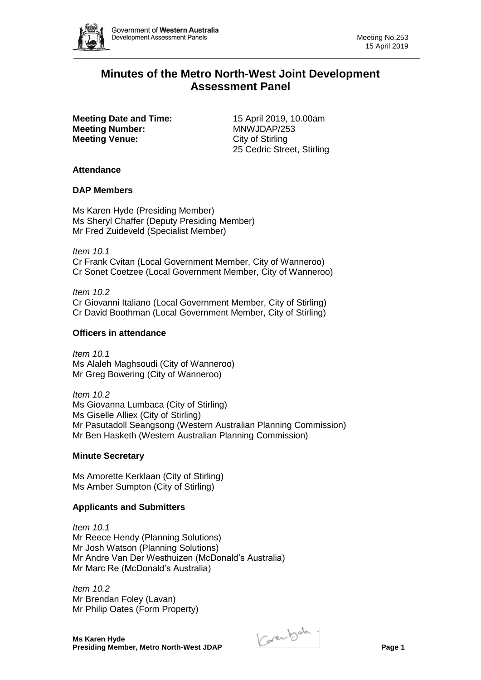

# **Minutes of the Metro North-West Joint Development Assessment Panel**

**Meeting Date and Time:** 15 April 2019, 10.00am **Meeting Number:** MNWJDAP/253 **Meeting Venue:** City of Stirling

25 Cedric Street, Stirling

# **Attendance**

#### **DAP Members**

Ms Karen Hyde (Presiding Member) Ms Sheryl Chaffer (Deputy Presiding Member) Mr Fred Zuideveld (Specialist Member)

*Item 10.1* Cr Frank Cvitan (Local Government Member, City of Wanneroo) Cr Sonet Coetzee (Local Government Member, City of Wanneroo)

*Item 10.2* Cr Giovanni Italiano (Local Government Member, City of Stirling) Cr David Boothman (Local Government Member, City of Stirling)

#### **Officers in attendance**

*Item 10.1* Ms Alaleh Maghsoudi (City of Wanneroo) Mr Greg Bowering (City of Wanneroo)

*Item 10.2* Ms Giovanna Lumbaca (City of Stirling) Ms Giselle Alliex (City of Stirling) Mr Pasutadoll Seangsong (Western Australian Planning Commission) Mr Ben Hasketh (Western Australian Planning Commission)

# **Minute Secretary**

Ms Amorette Kerklaan (City of Stirling) Ms Amber Sumpton (City of Stirling)

# **Applicants and Submitters**

*Item 10.1* Mr Reece Hendy (Planning Solutions) Mr Josh Watson (Planning Solutions) Mr Andre Van Der Westhuizen (McDonald's Australia) Mr Marc Re (McDonald's Australia)

*Item 10.2* Mr Brendan Foley (Lavan) Mr Philip Oates (Form Property)

**Ms Karen Hyde Presiding Member, Metro North-West JDAP** Page 1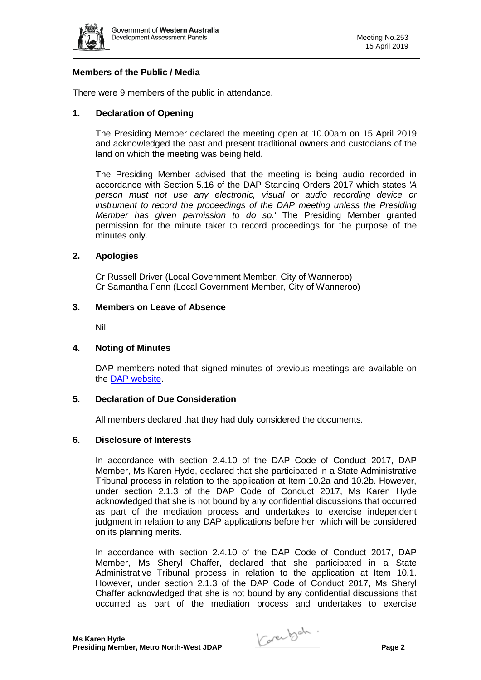

#### **Members of the Public / Media**

There were 9 members of the public in attendance.

### **1. Declaration of Opening**

The Presiding Member declared the meeting open at 10.00am on 15 April 2019 and acknowledged the past and present traditional owners and custodians of the land on which the meeting was being held.

The Presiding Member advised that the meeting is being audio recorded in accordance with Section 5.16 of the DAP Standing Orders 2017 which states *'A person must not use any electronic, visual or audio recording device or instrument to record the proceedings of the DAP meeting unless the Presiding Member has given permission to do so.'* The Presiding Member granted permission for the minute taker to record proceedings for the purpose of the minutes only.

#### **2. Apologies**

Cr Russell Driver (Local Government Member, City of Wanneroo) Cr Samantha Fenn (Local Government Member, City of Wanneroo)

#### **3. Members on Leave of Absence**

Nil

#### **4. Noting of Minutes**

DAP members noted that signed minutes of previous meetings are available on the [DAP website.](https://www.planning.wa.gov.au/7578.aspx)

#### **5. Declaration of Due Consideration**

All members declared that they had duly considered the documents.

#### **6. Disclosure of Interests**

In accordance with section 2.4.10 of the DAP Code of Conduct 2017, DAP Member, Ms Karen Hyde, declared that she participated in a State Administrative Tribunal process in relation to the application at Item 10.2a and 10.2b. However, under section 2.1.3 of the DAP Code of Conduct 2017, Ms Karen Hyde acknowledged that she is not bound by any confidential discussions that occurred as part of the mediation process and undertakes to exercise independent judgment in relation to any DAP applications before her, which will be considered on its planning merits.

In accordance with section 2.4.10 of the DAP Code of Conduct 2017, DAP Member, Ms Sheryl Chaffer, declared that she participated in a State Administrative Tribunal process in relation to the application at Item 10.1. However, under section 2.1.3 of the DAP Code of Conduct 2017, Ms Sheryl Chaffer acknowledged that she is not bound by any confidential discussions that occurred as part of the mediation process and undertakes to exercise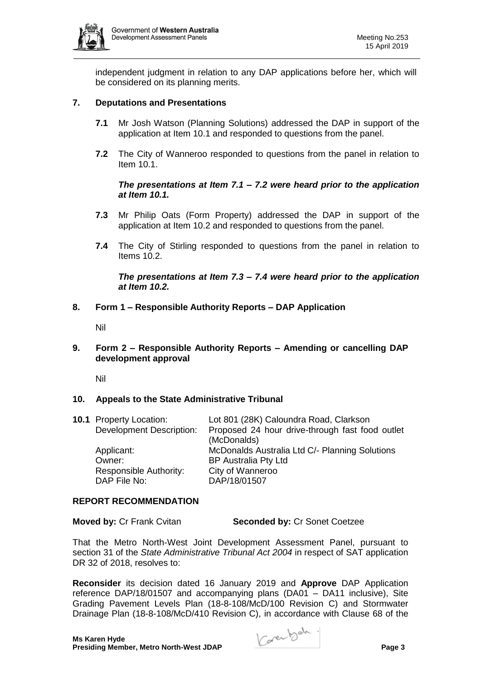

independent judgment in relation to any DAP applications before her, which will be considered on its planning merits.

# **7. Deputations and Presentations**

- **7.1** Mr Josh Watson (Planning Solutions) addressed the DAP in support of the application at Item 10.1 and responded to questions from the panel.
- **7.2** The City of Wanneroo responded to questions from the panel in relation to Item  $10.1$ .

### *The presentations at Item 7.1 – 7.2 were heard prior to the application at Item 10.1.*

- **7.3** Mr Philip Oats (Form Property) addressed the DAP in support of the application at Item 10.2 and responded to questions from the panel.
- **7.4** The City of Stirling responded to questions from the panel in relation to Items 10.2.

### *The presentations at Item 7.3 – 7.4 were heard prior to the application at Item 10.2.*

# **8. Form 1 – Responsible Authority Reports – DAP Application**

Nil

# **9. Form 2 – Responsible Authority Reports – Amending or cancelling DAP development approval**

Nil

# **10. Appeals to the State Administrative Tribunal**

| <b>10.1 Property Location:</b>  | Lot 801 (28K) Caloundra Road, Clarkson          |
|---------------------------------|-------------------------------------------------|
| <b>Development Description:</b> | Proposed 24 hour drive-through fast food outlet |
|                                 | (McDonalds)                                     |
| Applicant:                      | McDonalds Australia Ltd C/- Planning Solutions  |
| Owner:                          | <b>BP Australia Pty Ltd</b>                     |
| Responsible Authority:          | City of Wanneroo                                |
| DAP File No:                    | DAP/18/01507                                    |
|                                 |                                                 |

#### **REPORT RECOMMENDATION**

**Moved by:** Cr Frank Cvitan **Seconded by:** Cr Sonet Coetzee

That the Metro North-West Joint Development Assessment Panel, pursuant to section 31 of the *State Administrative Tribunal Act 2004* in respect of SAT application DR 32 of 2018, resolves to:

**Reconsider** its decision dated 16 January 2019 and **Approve** DAP Application reference DAP/18/01507 and accompanying plans (DA01 – DA11 inclusive), Site Grading Pavement Levels Plan (18-8-108/McD/100 Revision C) and Stormwater Drainage Plan (18-8-108/McD/410 Revision C), in accordance with Clause 68 of the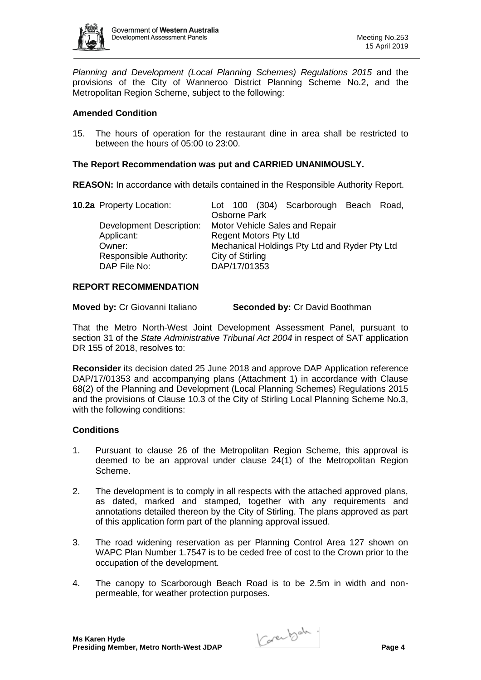

*Planning and Development (Local Planning Schemes) Regulations 2015* and the provisions of the City of Wanneroo District Planning Scheme No.2, and the Metropolitan Region Scheme, subject to the following:

### **Amended Condition**

15. The hours of operation for the restaurant dine in area shall be restricted to between the hours of 05:00 to 23:00.

### **The Report Recommendation was put and CARRIED UNANIMOUSLY.**

**REASON:** In accordance with details contained in the Responsible Authority Report.

| 10.2a Property Location: |                  |                              | Lot 100 (304) Scarborough Beach Road,         |  |
|--------------------------|------------------|------------------------------|-----------------------------------------------|--|
|                          | Osborne Park     |                              |                                               |  |
| Development Description: |                  |                              | Motor Vehicle Sales and Repair                |  |
| Applicant:               |                  | <b>Regent Motors Pty Ltd</b> |                                               |  |
| Owner:                   |                  |                              | Mechanical Holdings Pty Ltd and Ryder Pty Ltd |  |
| Responsible Authority:   | City of Stirling |                              |                                               |  |
| DAP File No:             | DAP/17/01353     |                              |                                               |  |

### **REPORT RECOMMENDATION**

| Moved by: Cr Giovanni Italiano | <b>Seconded by: Cr David Boothman</b> |
|--------------------------------|---------------------------------------|
|--------------------------------|---------------------------------------|

That the Metro North-West Joint Development Assessment Panel, pursuant to section 31 of the *State Administrative Tribunal Act 2004* in respect of SAT application DR 155 of 2018, resolves to:

**Reconsider** its decision dated 25 June 2018 and approve DAP Application reference DAP/17/01353 and accompanying plans (Attachment 1) in accordance with Clause 68(2) of the Planning and Development (Local Planning Schemes) Regulations 2015 and the provisions of Clause 10.3 of the City of Stirling Local Planning Scheme No.3, with the following conditions:

#### **Conditions**

- 1. Pursuant to clause 26 of the Metropolitan Region Scheme, this approval is deemed to be an approval under clause 24(1) of the Metropolitan Region Scheme.
- 2. The development is to comply in all respects with the attached approved plans, as dated, marked and stamped, together with any requirements and annotations detailed thereon by the City of Stirling. The plans approved as part of this application form part of the planning approval issued.
- 3. The road widening reservation as per Planning Control Area 127 shown on WAPC Plan Number 1.7547 is to be ceded free of cost to the Crown prior to the occupation of the development.
- 4. The canopy to Scarborough Beach Road is to be 2.5m in width and nonpermeable, for weather protection purposes.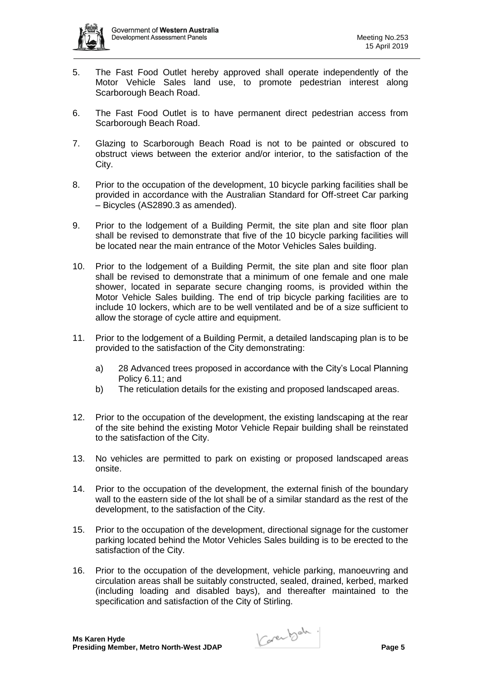

- 5. The Fast Food Outlet hereby approved shall operate independently of the Motor Vehicle Sales land use, to promote pedestrian interest along Scarborough Beach Road.
- 6. The Fast Food Outlet is to have permanent direct pedestrian access from Scarborough Beach Road.
- 7. Glazing to Scarborough Beach Road is not to be painted or obscured to obstruct views between the exterior and/or interior, to the satisfaction of the City.
- 8. Prior to the occupation of the development, 10 bicycle parking facilities shall be provided in accordance with the Australian Standard for Off-street Car parking – Bicycles (AS2890.3 as amended).
- 9. Prior to the lodgement of a Building Permit, the site plan and site floor plan shall be revised to demonstrate that five of the 10 bicycle parking facilities will be located near the main entrance of the Motor Vehicles Sales building.
- 10. Prior to the lodgement of a Building Permit, the site plan and site floor plan shall be revised to demonstrate that a minimum of one female and one male shower, located in separate secure changing rooms, is provided within the Motor Vehicle Sales building. The end of trip bicycle parking facilities are to include 10 lockers, which are to be well ventilated and be of a size sufficient to allow the storage of cycle attire and equipment.
- 11. Prior to the lodgement of a Building Permit, a detailed landscaping plan is to be provided to the satisfaction of the City demonstrating:
	- a) 28 Advanced trees proposed in accordance with the City's Local Planning Policy 6.11; and
	- b) The reticulation details for the existing and proposed landscaped areas.
- 12. Prior to the occupation of the development, the existing landscaping at the rear of the site behind the existing Motor Vehicle Repair building shall be reinstated to the satisfaction of the City.
- 13. No vehicles are permitted to park on existing or proposed landscaped areas onsite.
- 14. Prior to the occupation of the development, the external finish of the boundary wall to the eastern side of the lot shall be of a similar standard as the rest of the development, to the satisfaction of the City.
- 15. Prior to the occupation of the development, directional signage for the customer parking located behind the Motor Vehicles Sales building is to be erected to the satisfaction of the City.
- 16. Prior to the occupation of the development, vehicle parking, manoeuvring and circulation areas shall be suitably constructed, sealed, drained, kerbed, marked (including loading and disabled bays), and thereafter maintained to the specification and satisfaction of the City of Stirling.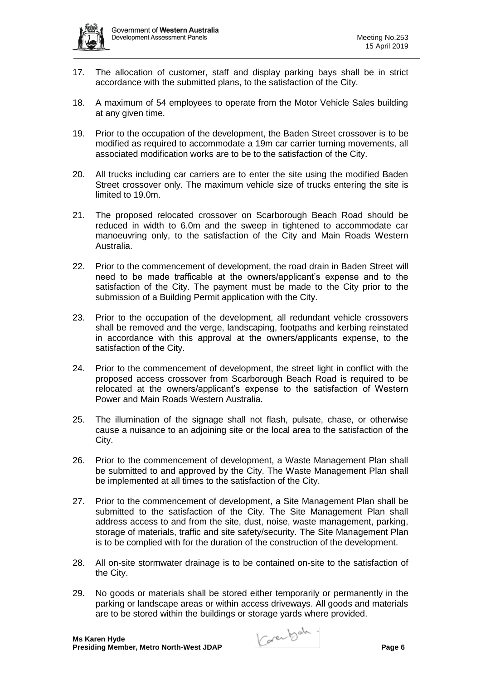

- 17. The allocation of customer, staff and display parking bays shall be in strict accordance with the submitted plans, to the satisfaction of the City.
- 18. A maximum of 54 employees to operate from the Motor Vehicle Sales building at any given time.
- 19. Prior to the occupation of the development, the Baden Street crossover is to be modified as required to accommodate a 19m car carrier turning movements, all associated modification works are to be to the satisfaction of the City.
- 20. All trucks including car carriers are to enter the site using the modified Baden Street crossover only. The maximum vehicle size of trucks entering the site is limited to 19.0m.
- 21. The proposed relocated crossover on Scarborough Beach Road should be reduced in width to 6.0m and the sweep in tightened to accommodate car manoeuvring only, to the satisfaction of the City and Main Roads Western Australia.
- 22. Prior to the commencement of development, the road drain in Baden Street will need to be made trafficable at the owners/applicant's expense and to the satisfaction of the City. The payment must be made to the City prior to the submission of a Building Permit application with the City.
- 23. Prior to the occupation of the development, all redundant vehicle crossovers shall be removed and the verge, landscaping, footpaths and kerbing reinstated in accordance with this approval at the owners/applicants expense, to the satisfaction of the City.
- 24. Prior to the commencement of development, the street light in conflict with the proposed access crossover from Scarborough Beach Road is required to be relocated at the owners/applicant's expense to the satisfaction of Western Power and Main Roads Western Australia.
- 25. The illumination of the signage shall not flash, pulsate, chase, or otherwise cause a nuisance to an adjoining site or the local area to the satisfaction of the City.
- 26. Prior to the commencement of development, a Waste Management Plan shall be submitted to and approved by the City. The Waste Management Plan shall be implemented at all times to the satisfaction of the City.
- 27. Prior to the commencement of development, a Site Management Plan shall be submitted to the satisfaction of the City. The Site Management Plan shall address access to and from the site, dust, noise, waste management, parking, storage of materials, traffic and site safety/security. The Site Management Plan is to be complied with for the duration of the construction of the development.
- 28. All on-site stormwater drainage is to be contained on-site to the satisfaction of the City.
- 29. No goods or materials shall be stored either temporarily or permanently in the parking or landscape areas or within access driveways. All goods and materials are to be stored within the buildings or storage yards where provided.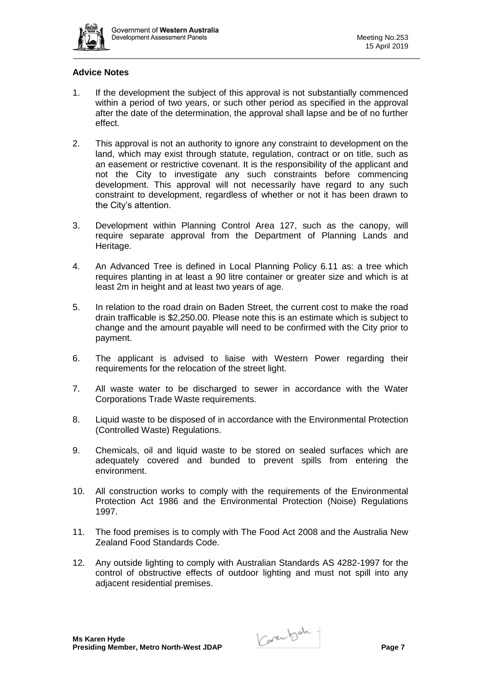

# **Advice Notes**

- 1. If the development the subject of this approval is not substantially commenced within a period of two years, or such other period as specified in the approval after the date of the determination, the approval shall lapse and be of no further effect.
- 2. This approval is not an authority to ignore any constraint to development on the land, which may exist through statute, regulation, contract or on title, such as an easement or restrictive covenant. It is the responsibility of the applicant and not the City to investigate any such constraints before commencing development. This approval will not necessarily have regard to any such constraint to development, regardless of whether or not it has been drawn to the City's attention.
- 3. Development within Planning Control Area 127, such as the canopy, will require separate approval from the Department of Planning Lands and Heritage.
- 4. An Advanced Tree is defined in Local Planning Policy 6.11 as: a tree which requires planting in at least a 90 litre container or greater size and which is at least 2m in height and at least two years of age.
- 5. In relation to the road drain on Baden Street, the current cost to make the road drain trafficable is \$2,250.00. Please note this is an estimate which is subject to change and the amount payable will need to be confirmed with the City prior to payment.
- 6. The applicant is advised to liaise with Western Power regarding their requirements for the relocation of the street light.
- 7. All waste water to be discharged to sewer in accordance with the Water Corporations Trade Waste requirements.
- 8. Liquid waste to be disposed of in accordance with the Environmental Protection (Controlled Waste) Regulations.
- 9. Chemicals, oil and liquid waste to be stored on sealed surfaces which are adequately covered and bunded to prevent spills from entering the environment.
- 10. All construction works to comply with the requirements of the Environmental Protection Act 1986 and the Environmental Protection (Noise) Regulations 1997.
- 11. The food premises is to comply with The Food Act 2008 and the Australia New Zealand Food Standards Code.
- 12. Any outside lighting to comply with Australian Standards AS 4282-1997 for the control of obstructive effects of outdoor lighting and must not spill into any adjacent residential premises.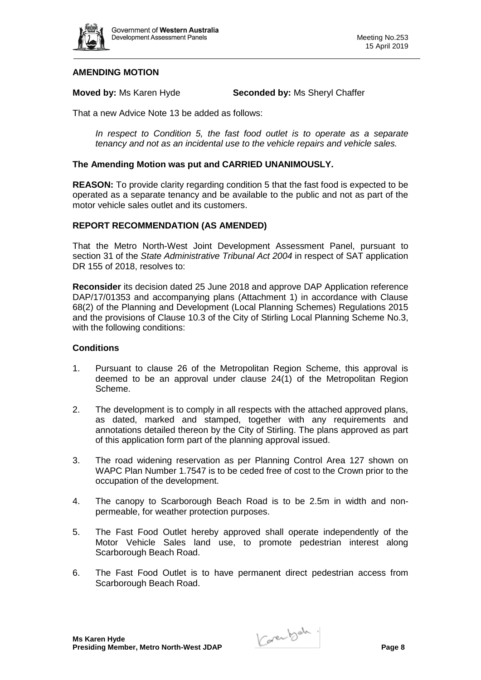

# **AMENDING MOTION**

**Moved by:** Ms Karen Hyde **Seconded by:** Ms Sheryl Chaffer

That a new Advice Note 13 be added as follows:

*In respect to Condition 5, the fast food outlet is to operate as a separate tenancy and not as an incidental use to the vehicle repairs and vehicle sales.* 

# **The Amending Motion was put and CARRIED UNANIMOUSLY.**

**REASON:** To provide clarity regarding condition 5 that the fast food is expected to be operated as a separate tenancy and be available to the public and not as part of the motor vehicle sales outlet and its customers.

#### **REPORT RECOMMENDATION (AS AMENDED)**

That the Metro North-West Joint Development Assessment Panel, pursuant to section 31 of the *State Administrative Tribunal Act 2004* in respect of SAT application DR 155 of 2018, resolves to:

**Reconsider** its decision dated 25 June 2018 and approve DAP Application reference DAP/17/01353 and accompanying plans (Attachment 1) in accordance with Clause 68(2) of the Planning and Development (Local Planning Schemes) Regulations 2015 and the provisions of Clause 10.3 of the City of Stirling Local Planning Scheme No.3, with the following conditions:

#### **Conditions**

- 1. Pursuant to clause 26 of the Metropolitan Region Scheme, this approval is deemed to be an approval under clause 24(1) of the Metropolitan Region Scheme.
- 2. The development is to comply in all respects with the attached approved plans, as dated, marked and stamped, together with any requirements and annotations detailed thereon by the City of Stirling. The plans approved as part of this application form part of the planning approval issued.
- 3. The road widening reservation as per Planning Control Area 127 shown on WAPC Plan Number 1.7547 is to be ceded free of cost to the Crown prior to the occupation of the development.
- 4. The canopy to Scarborough Beach Road is to be 2.5m in width and nonpermeable, for weather protection purposes.
- 5. The Fast Food Outlet hereby approved shall operate independently of the Motor Vehicle Sales land use, to promote pedestrian interest along Scarborough Beach Road.
- 6. The Fast Food Outlet is to have permanent direct pedestrian access from Scarborough Beach Road.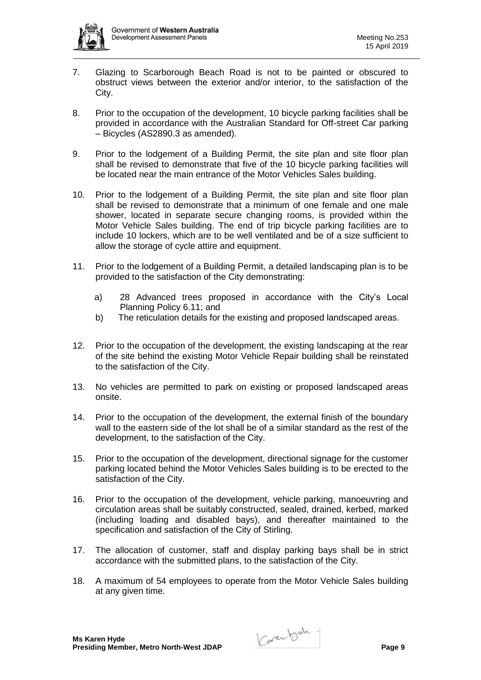

- 7. Glazing to Scarborough Beach Road is not to be painted or obscured to obstruct views between the exterior and/or interior, to the satisfaction of the City.
- 8. Prior to the occupation of the development, 10 bicycle parking facilities shall be provided in accordance with the Australian Standard for Off-street Car parking – Bicycles (AS2890.3 as amended).
- 9. Prior to the lodgement of a Building Permit, the site plan and site floor plan shall be revised to demonstrate that five of the 10 bicycle parking facilities will be located near the main entrance of the Motor Vehicles Sales building.
- 10. Prior to the lodgement of a Building Permit, the site plan and site floor plan shall be revised to demonstrate that a minimum of one female and one male shower, located in separate secure changing rooms, is provided within the Motor Vehicle Sales building. The end of trip bicycle parking facilities are to include 10 lockers, which are to be well ventilated and be of a size sufficient to allow the storage of cycle attire and equipment.
- 11. Prior to the lodgement of a Building Permit, a detailed landscaping plan is to be provided to the satisfaction of the City demonstrating:
	- a) 28 Advanced trees proposed in accordance with the City's Local Planning Policy 6.11; and
	- b) The reticulation details for the existing and proposed landscaped areas.
- 12. Prior to the occupation of the development, the existing landscaping at the rear of the site behind the existing Motor Vehicle Repair building shall be reinstated to the satisfaction of the City.
- 13. No vehicles are permitted to park on existing or proposed landscaped areas onsite.
- 14. Prior to the occupation of the development, the external finish of the boundary wall to the eastern side of the lot shall be of a similar standard as the rest of the development, to the satisfaction of the City.
- 15. Prior to the occupation of the development, directional signage for the customer parking located behind the Motor Vehicles Sales building is to be erected to the satisfaction of the City.
- 16. Prior to the occupation of the development, vehicle parking, manoeuvring and circulation areas shall be suitably constructed, sealed, drained, kerbed, marked (including loading and disabled bays), and thereafter maintained to the specification and satisfaction of the City of Stirling.
- 17. The allocation of customer, staff and display parking bays shall be in strict accordance with the submitted plans, to the satisfaction of the City.
- 18. A maximum of 54 employees to operate from the Motor Vehicle Sales building at any given time.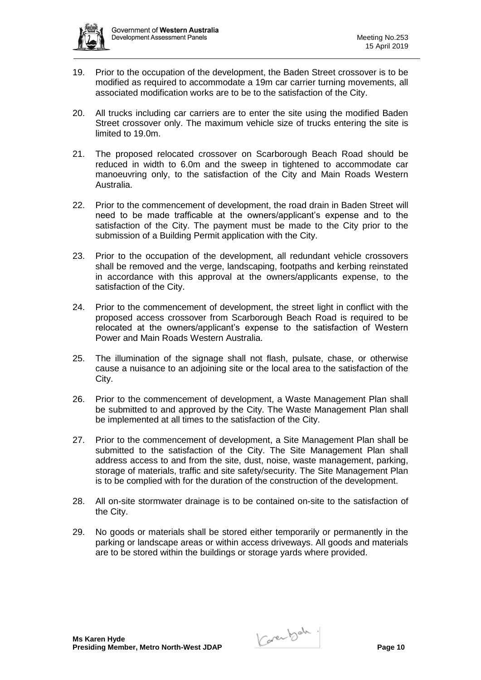

- 19. Prior to the occupation of the development, the Baden Street crossover is to be modified as required to accommodate a 19m car carrier turning movements, all associated modification works are to be to the satisfaction of the City.
- 20. All trucks including car carriers are to enter the site using the modified Baden Street crossover only. The maximum vehicle size of trucks entering the site is limited to 19.0m.
- 21. The proposed relocated crossover on Scarborough Beach Road should be reduced in width to 6.0m and the sweep in tightened to accommodate car manoeuvring only, to the satisfaction of the City and Main Roads Western Australia.
- 22. Prior to the commencement of development, the road drain in Baden Street will need to be made trafficable at the owners/applicant's expense and to the satisfaction of the City. The payment must be made to the City prior to the submission of a Building Permit application with the City.
- 23. Prior to the occupation of the development, all redundant vehicle crossovers shall be removed and the verge, landscaping, footpaths and kerbing reinstated in accordance with this approval at the owners/applicants expense, to the satisfaction of the City.
- 24. Prior to the commencement of development, the street light in conflict with the proposed access crossover from Scarborough Beach Road is required to be relocated at the owners/applicant's expense to the satisfaction of Western Power and Main Roads Western Australia.
- 25. The illumination of the signage shall not flash, pulsate, chase, or otherwise cause a nuisance to an adjoining site or the local area to the satisfaction of the City.
- 26. Prior to the commencement of development, a Waste Management Plan shall be submitted to and approved by the City. The Waste Management Plan shall be implemented at all times to the satisfaction of the City.
- 27. Prior to the commencement of development, a Site Management Plan shall be submitted to the satisfaction of the City. The Site Management Plan shall address access to and from the site, dust, noise, waste management, parking, storage of materials, traffic and site safety/security. The Site Management Plan is to be complied with for the duration of the construction of the development.
- 28. All on-site stormwater drainage is to be contained on-site to the satisfaction of the City.
- 29. No goods or materials shall be stored either temporarily or permanently in the parking or landscape areas or within access driveways. All goods and materials are to be stored within the buildings or storage yards where provided.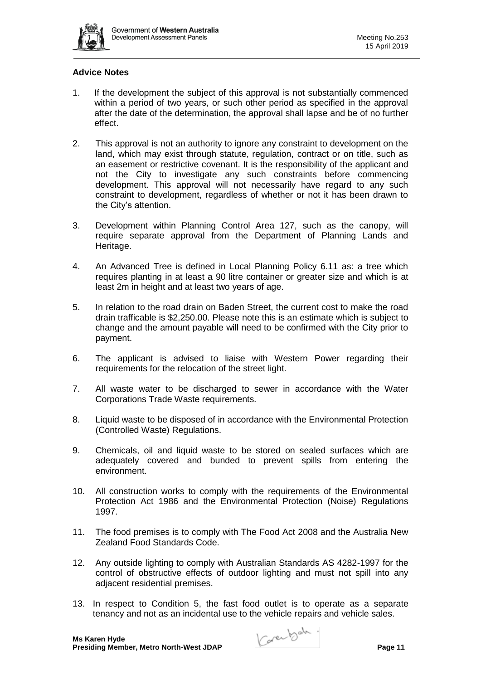

# **Advice Notes**

- 1. If the development the subject of this approval is not substantially commenced within a period of two years, or such other period as specified in the approval after the date of the determination, the approval shall lapse and be of no further effect.
- 2. This approval is not an authority to ignore any constraint to development on the land, which may exist through statute, regulation, contract or on title, such as an easement or restrictive covenant. It is the responsibility of the applicant and not the City to investigate any such constraints before commencing development. This approval will not necessarily have regard to any such constraint to development, regardless of whether or not it has been drawn to the City's attention.
- 3. Development within Planning Control Area 127, such as the canopy, will require separate approval from the Department of Planning Lands and Heritage.
- 4. An Advanced Tree is defined in Local Planning Policy 6.11 as: a tree which requires planting in at least a 90 litre container or greater size and which is at least 2m in height and at least two years of age.
- 5. In relation to the road drain on Baden Street, the current cost to make the road drain trafficable is \$2,250.00. Please note this is an estimate which is subject to change and the amount payable will need to be confirmed with the City prior to payment.
- 6. The applicant is advised to liaise with Western Power regarding their requirements for the relocation of the street light.
- 7. All waste water to be discharged to sewer in accordance with the Water Corporations Trade Waste requirements.
- 8. Liquid waste to be disposed of in accordance with the Environmental Protection (Controlled Waste) Regulations.
- 9. Chemicals, oil and liquid waste to be stored on sealed surfaces which are adequately covered and bunded to prevent spills from entering the environment.
- 10. All construction works to comply with the requirements of the Environmental Protection Act 1986 and the Environmental Protection (Noise) Regulations 1997.
- 11. The food premises is to comply with The Food Act 2008 and the Australia New Zealand Food Standards Code.
- 12. Any outside lighting to comply with Australian Standards AS 4282-1997 for the control of obstructive effects of outdoor lighting and must not spill into any adjacent residential premises.
- 13. In respect to Condition 5, the fast food outlet is to operate as a separate tenancy and not as an incidental use to the vehicle repairs and vehicle sales.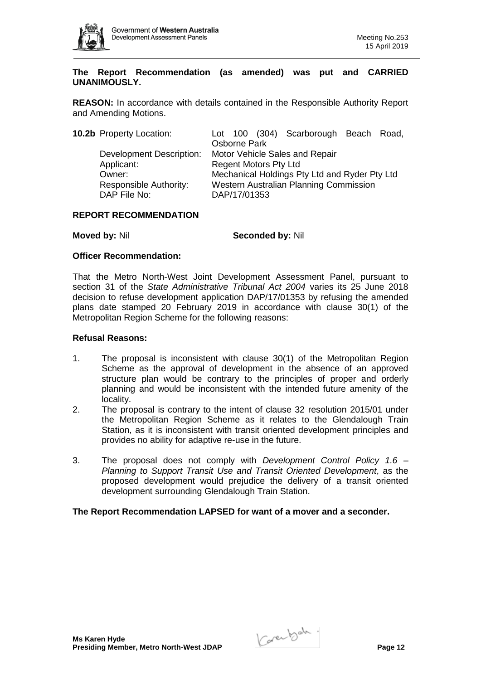

#### **The Report Recommendation (as amended) was put and CARRIED UNANIMOUSLY.**

**REASON:** In accordance with details contained in the Responsible Authority Report and Amending Motions.

| Lot 100 (304) Scarborough Beach Road,                             |
|-------------------------------------------------------------------|
| <b>Osborne Park</b>                                               |
| Motor Vehicle Sales and Repair<br><b>Development Description:</b> |
| <b>Regent Motors Pty Ltd</b>                                      |
| Mechanical Holdings Pty Ltd and Ryder Pty Ltd                     |
| Western Australian Planning Commission                            |
| DAP/17/01353                                                      |
|                                                                   |

# **REPORT RECOMMENDATION**

**Moved by:** Nil **Seconded by:** Nil

#### **Officer Recommendation:**

That the Metro North-West Joint Development Assessment Panel, pursuant to section 31 of the *State Administrative Tribunal Act 2004* varies its 25 June 2018 decision to refuse development application DAP/17/01353 by refusing the amended plans date stamped 20 February 2019 in accordance with clause 30(1) of the Metropolitan Region Scheme for the following reasons:

#### **Refusal Reasons:**

- 1. The proposal is inconsistent with clause 30(1) of the Metropolitan Region Scheme as the approval of development in the absence of an approved structure plan would be contrary to the principles of proper and orderly planning and would be inconsistent with the intended future amenity of the locality.
- 2. The proposal is contrary to the intent of clause 32 resolution 2015/01 under the Metropolitan Region Scheme as it relates to the Glendalough Train Station, as it is inconsistent with transit oriented development principles and provides no ability for adaptive re-use in the future.
- 3. The proposal does not comply with *Development Control Policy 1.6 – Planning to Support Transit Use and Transit Oriented Development*, as the proposed development would prejudice the delivery of a transit oriented development surrounding Glendalough Train Station.

#### **The Report Recommendation LAPSED for want of a mover and a seconder.**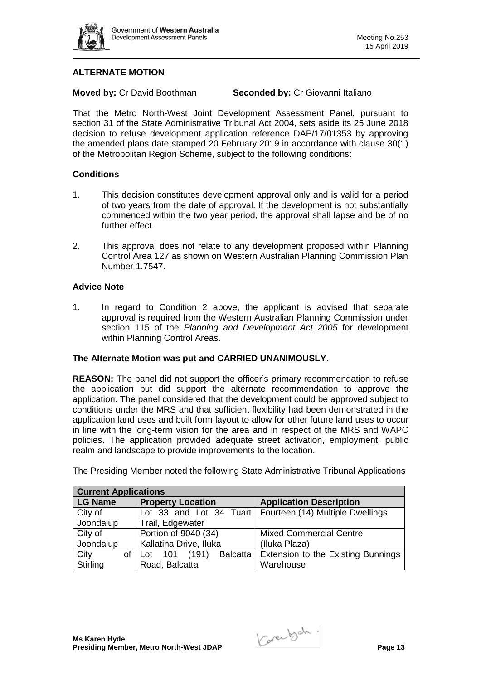

# **ALTERNATE MOTION**

**Moved by:** Cr David Boothman **Seconded by:** Cr Giovanni Italiano

That the Metro North-West Joint Development Assessment Panel, pursuant to section 31 of the State Administrative Tribunal Act 2004, sets aside its 25 June 2018 decision to refuse development application reference DAP/17/01353 by approving the amended plans date stamped 20 February 2019 in accordance with clause 30(1) of the Metropolitan Region Scheme, subject to the following conditions:

#### **Conditions**

- 1. This decision constitutes development approval only and is valid for a period of two years from the date of approval. If the development is not substantially commenced within the two year period, the approval shall lapse and be of no further effect.
- 2. This approval does not relate to any development proposed within Planning Control Area 127 as shown on Western Australian Planning Commission Plan Number 1.7547.

#### **Advice Note**

1. In regard to Condition 2 above, the applicant is advised that separate approval is required from the Western Australian Planning Commission under section 115 of the *Planning and Development Act 2005* for development within Planning Control Areas.

#### **The Alternate Motion was put and CARRIED UNANIMOUSLY.**

**REASON:** The panel did not support the officer's primary recommendation to refuse the application but did support the alternate recommendation to approve the application. The panel considered that the development could be approved subject to conditions under the MRS and that sufficient flexibility had been demonstrated in the application land uses and built form layout to allow for other future land uses to occur in line with the long-term vision for the area and in respect of the MRS and WAPC policies. The application provided adequate street activation, employment, public realm and landscape to provide improvements to the location.

| <b>Current Applications</b> |                                     |                                                            |  |  |  |
|-----------------------------|-------------------------------------|------------------------------------------------------------|--|--|--|
| <b>LG Name</b>              | <b>Property Location</b>            | <b>Application Description</b>                             |  |  |  |
| City of                     |                                     | Lot 33 and Lot 34 Tuart   Fourteen (14) Multiple Dwellings |  |  |  |
| Joondalup                   | Trail, Edgewater                    |                                                            |  |  |  |
| City of                     | Portion of 9040 (34)                | <b>Mixed Commercial Centre</b>                             |  |  |  |
| Joondalup                   | Kallatina Drive, Iluka              | (Iluka Plaza)                                              |  |  |  |
| City<br>οf                  | 101 (191)<br><b>Balcatta</b><br>Lot | Extension to the Existing Bunnings                         |  |  |  |
| <b>Stirling</b>             | Road, Balcatta                      | Warehouse                                                  |  |  |  |

The Presiding Member noted the following State Administrative Tribunal Applications